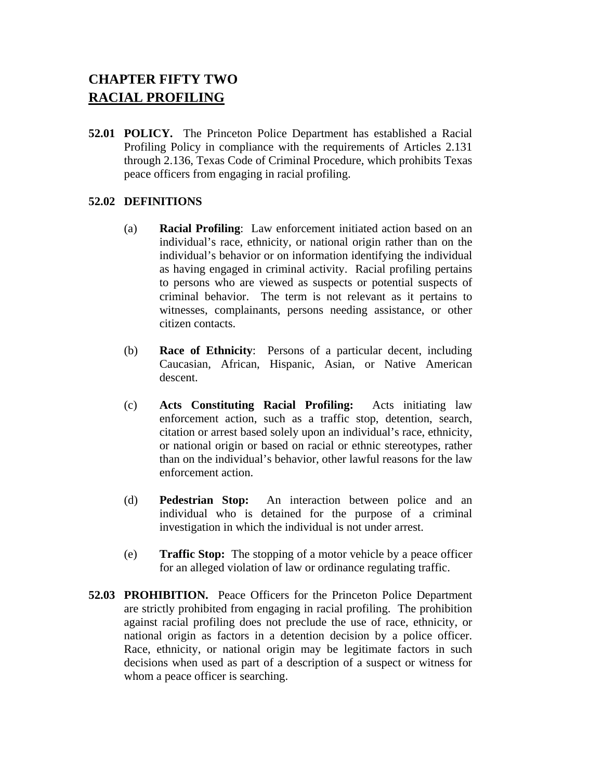# **CHAPTER FIFTY TWO RACIAL PROFILING**

**52.01 POLICY.** The Princeton Police Department has established a Racial Profiling Policy in compliance with the requirements of Articles 2.131 through 2.136, Texas Code of Criminal Procedure, which prohibits Texas peace officers from engaging in racial profiling.

### **52.02 DEFINITIONS**

- (a) **Racial Profiling**: Law enforcement initiated action based on an individual's race, ethnicity, or national origin rather than on the individual's behavior or on information identifying the individual as having engaged in criminal activity. Racial profiling pertains to persons who are viewed as suspects or potential suspects of criminal behavior. The term is not relevant as it pertains to witnesses, complainants, persons needing assistance, or other citizen contacts.
- (b) **Race of Ethnicity**: Persons of a particular decent, including Caucasian, African, Hispanic, Asian, or Native American descent.
- (c) **Acts Constituting Racial Profiling:** Acts initiating law enforcement action, such as a traffic stop, detention, search, citation or arrest based solely upon an individual's race, ethnicity, or national origin or based on racial or ethnic stereotypes, rather than on the individual's behavior, other lawful reasons for the law enforcement action.
- (d) **Pedestrian Stop:** An interaction between police and an individual who is detained for the purpose of a criminal investigation in which the individual is not under arrest.
- (e) **Traffic Stop:** The stopping of a motor vehicle by a peace officer for an alleged violation of law or ordinance regulating traffic.
- **52.03 PROHIBITION.** Peace Officers for the Princeton Police Department are strictly prohibited from engaging in racial profiling. The prohibition against racial profiling does not preclude the use of race, ethnicity, or national origin as factors in a detention decision by a police officer. Race, ethnicity, or national origin may be legitimate factors in such decisions when used as part of a description of a suspect or witness for whom a peace officer is searching.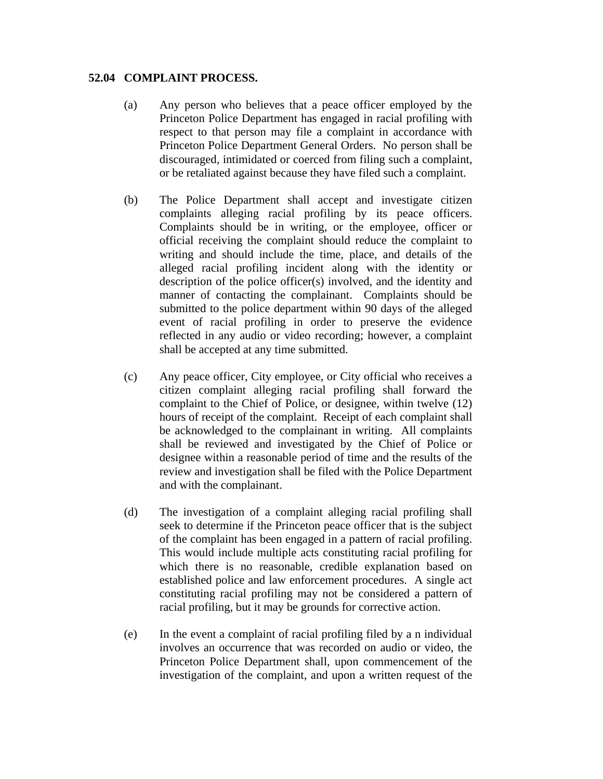#### **52.04 COMPLAINT PROCESS.**

- (a) Any person who believes that a peace officer employed by the Princeton Police Department has engaged in racial profiling with respect to that person may file a complaint in accordance with Princeton Police Department General Orders. No person shall be discouraged, intimidated or coerced from filing such a complaint, or be retaliated against because they have filed such a complaint.
- (b) The Police Department shall accept and investigate citizen complaints alleging racial profiling by its peace officers. Complaints should be in writing, or the employee, officer or official receiving the complaint should reduce the complaint to writing and should include the time, place, and details of the alleged racial profiling incident along with the identity or description of the police officer(s) involved, and the identity and manner of contacting the complainant. Complaints should be submitted to the police department within 90 days of the alleged event of racial profiling in order to preserve the evidence reflected in any audio or video recording; however, a complaint shall be accepted at any time submitted.
- (c) Any peace officer, City employee, or City official who receives a citizen complaint alleging racial profiling shall forward the complaint to the Chief of Police, or designee, within twelve (12) hours of receipt of the complaint. Receipt of each complaint shall be acknowledged to the complainant in writing. All complaints shall be reviewed and investigated by the Chief of Police or designee within a reasonable period of time and the results of the review and investigation shall be filed with the Police Department and with the complainant.
- (d) The investigation of a complaint alleging racial profiling shall seek to determine if the Princeton peace officer that is the subject of the complaint has been engaged in a pattern of racial profiling. This would include multiple acts constituting racial profiling for which there is no reasonable, credible explanation based on established police and law enforcement procedures. A single act constituting racial profiling may not be considered a pattern of racial profiling, but it may be grounds for corrective action.
- (e) In the event a complaint of racial profiling filed by a n individual involves an occurrence that was recorded on audio or video, the Princeton Police Department shall, upon commencement of the investigation of the complaint, and upon a written request of the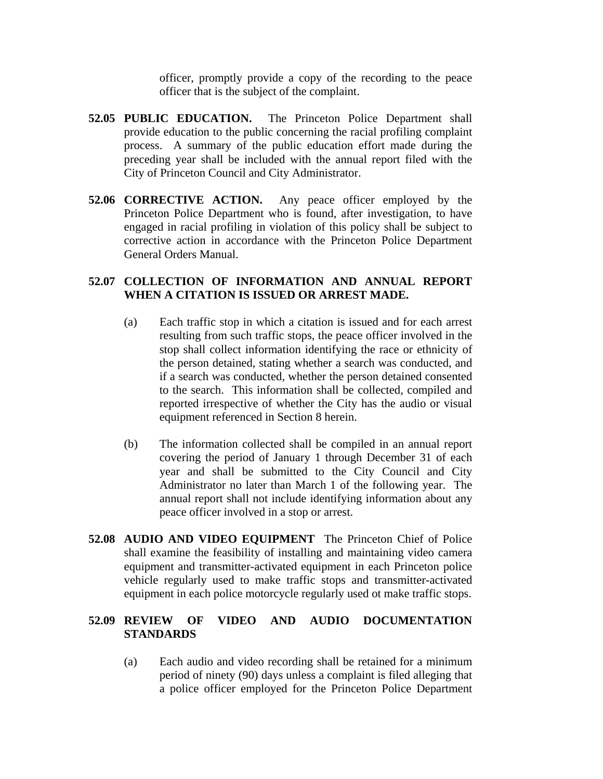officer, promptly provide a copy of the recording to the peace officer that is the subject of the complaint.

- **52.05 PUBLIC EDUCATION.** The Princeton Police Department shall provide education to the public concerning the racial profiling complaint process. A summary of the public education effort made during the preceding year shall be included with the annual report filed with the City of Princeton Council and City Administrator.
- **52.06 CORRECTIVE ACTION.** Any peace officer employed by the Princeton Police Department who is found, after investigation, to have engaged in racial profiling in violation of this policy shall be subject to corrective action in accordance with the Princeton Police Department General Orders Manual.

#### **52.07 COLLECTION OF INFORMATION AND ANNUAL REPORT WHEN A CITATION IS ISSUED OR ARREST MADE.**

- (a) Each traffic stop in which a citation is issued and for each arrest resulting from such traffic stops, the peace officer involved in the stop shall collect information identifying the race or ethnicity of the person detained, stating whether a search was conducted, and if a search was conducted, whether the person detained consented to the search. This information shall be collected, compiled and reported irrespective of whether the City has the audio or visual equipment referenced in Section 8 herein.
- (b) The information collected shall be compiled in an annual report covering the period of January 1 through December 31 of each year and shall be submitted to the City Council and City Administrator no later than March 1 of the following year. The annual report shall not include identifying information about any peace officer involved in a stop or arrest.
- **52.08 AUDIO AND VIDEO EQUIPMENT** The Princeton Chief of Police shall examine the feasibility of installing and maintaining video camera equipment and transmitter-activated equipment in each Princeton police vehicle regularly used to make traffic stops and transmitter-activated equipment in each police motorcycle regularly used ot make traffic stops.

### **52.09 REVIEW OF VIDEO AND AUDIO DOCUMENTATION STANDARDS**

(a) Each audio and video recording shall be retained for a minimum period of ninety (90) days unless a complaint is filed alleging that a police officer employed for the Princeton Police Department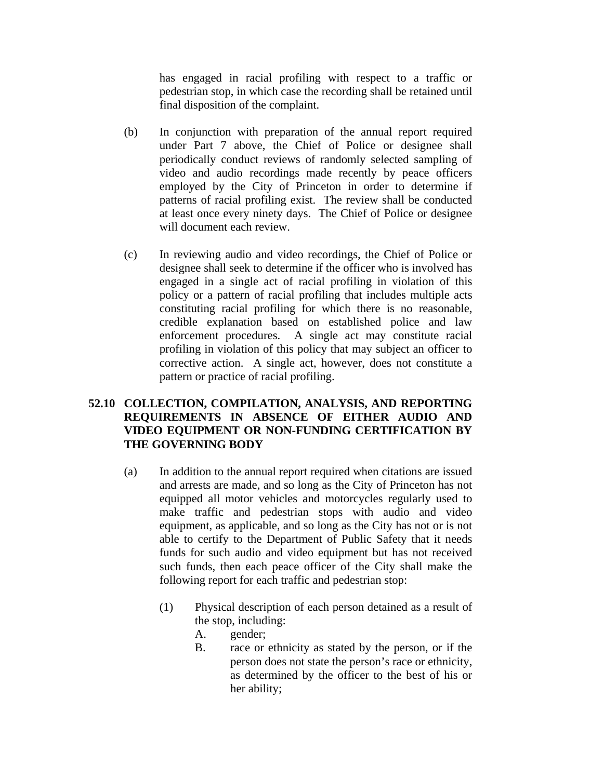has engaged in racial profiling with respect to a traffic or pedestrian stop, in which case the recording shall be retained until final disposition of the complaint.

- (b) In conjunction with preparation of the annual report required under Part 7 above, the Chief of Police or designee shall periodically conduct reviews of randomly selected sampling of video and audio recordings made recently by peace officers employed by the City of Princeton in order to determine if patterns of racial profiling exist. The review shall be conducted at least once every ninety days. The Chief of Police or designee will document each review.
- (c) In reviewing audio and video recordings, the Chief of Police or designee shall seek to determine if the officer who is involved has engaged in a single act of racial profiling in violation of this policy or a pattern of racial profiling that includes multiple acts constituting racial profiling for which there is no reasonable, credible explanation based on established police and law enforcement procedures. A single act may constitute racial profiling in violation of this policy that may subject an officer to corrective action. A single act, however, does not constitute a pattern or practice of racial profiling.

## **52.10 COLLECTION, COMPILATION, ANALYSIS, AND REPORTING REQUIREMENTS IN ABSENCE OF EITHER AUDIO AND VIDEO EQUIPMENT OR NON-FUNDING CERTIFICATION BY THE GOVERNING BODY**

- (a) In addition to the annual report required when citations are issued and arrests are made, and so long as the City of Princeton has not equipped all motor vehicles and motorcycles regularly used to make traffic and pedestrian stops with audio and video equipment, as applicable, and so long as the City has not or is not able to certify to the Department of Public Safety that it needs funds for such audio and video equipment but has not received such funds, then each peace officer of the City shall make the following report for each traffic and pedestrian stop:
	- (1) Physical description of each person detained as a result of the stop, including:
		- A. gender;
		- B. race or ethnicity as stated by the person, or if the person does not state the person's race or ethnicity, as determined by the officer to the best of his or her ability;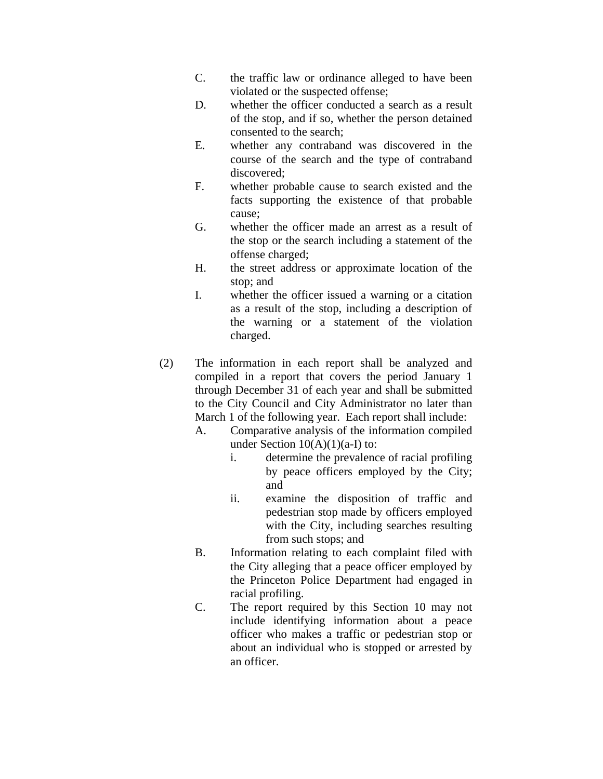- C. the traffic law or ordinance alleged to have been violated or the suspected offense;
- D. whether the officer conducted a search as a result of the stop, and if so, whether the person detained consented to the search;
- E. whether any contraband was discovered in the course of the search and the type of contraband discovered;
- F. whether probable cause to search existed and the facts supporting the existence of that probable cause;
- G. whether the officer made an arrest as a result of the stop or the search including a statement of the offense charged;
- H. the street address or approximate location of the stop; and
- I. whether the officer issued a warning or a citation as a result of the stop, including a description of the warning or a statement of the violation charged.
- (2) The information in each report shall be analyzed and compiled in a report that covers the period January 1 through December 31 of each year and shall be submitted to the City Council and City Administrator no later than March 1 of the following year. Each report shall include:
	- A. Comparative analysis of the information compiled under Section  $10(A)(1)(a-I)$  to:
		- i. determine the prevalence of racial profiling by peace officers employed by the City; and
		- ii. examine the disposition of traffic and pedestrian stop made by officers employed with the City, including searches resulting from such stops; and
	- B. Information relating to each complaint filed with the City alleging that a peace officer employed by the Princeton Police Department had engaged in racial profiling.
	- C. The report required by this Section 10 may not include identifying information about a peace officer who makes a traffic or pedestrian stop or about an individual who is stopped or arrested by an officer.